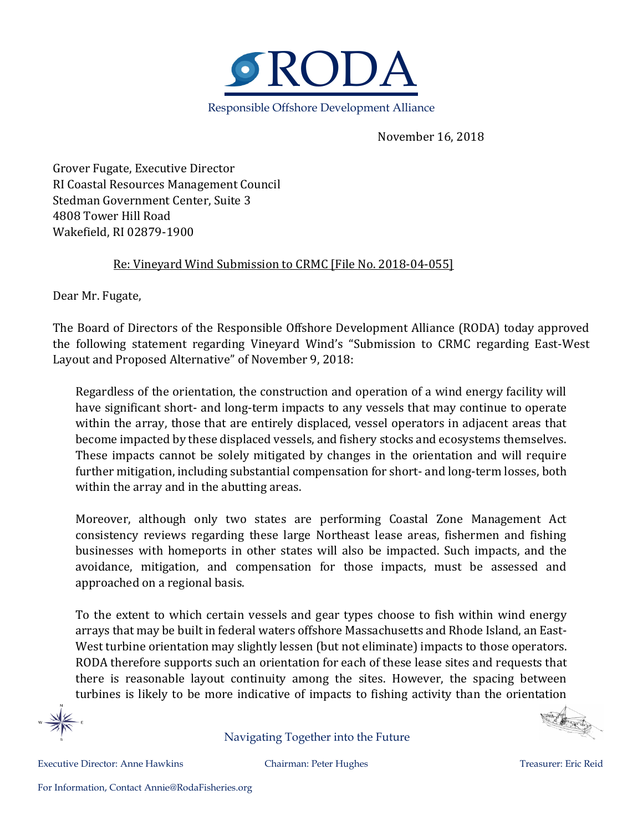

November 16, 2018

Grover Fugate, Executive Director RI Coastal Resources Management Council Stedman Government Center, Suite 3 4808 Tower Hill Road Wakefield, RI 02879-1900

## Re: Vineyard Wind Submission to CRMC [File No. 2018-04-055]

Dear Mr. Fugate,

The Board of Directors of the Responsible Offshore Development Alliance (RODA) today approved the following statement regarding Vineyard Wind's "Submission to CRMC regarding East-West Layout and Proposed Alternative" of November 9, 2018:

Regardless of the orientation, the construction and operation of a wind energy facility will have significant short- and long-term impacts to any vessels that may continue to operate within the array, those that are entirely displaced, vessel operators in adjacent areas that become impacted by these displaced vessels, and fishery stocks and ecosystems themselves. These impacts cannot be solely mitigated by changes in the orientation and will require further mitigation, including substantial compensation for short- and long-term losses, both within the array and in the abutting areas.

Moreover, although only two states are performing Coastal Zone Management Act consistency reviews regarding these large Northeast lease areas, fishermen and fishing businesses with homeports in other states will also be impacted. Such impacts, and the avoidance, mitigation, and compensation for those impacts, must be assessed and approached on a regional basis.

To the extent to which certain vessels and gear types choose to fish within wind energy arrays that may be built in federal waters offshore Massachusetts and Rhode Island, an East-West turbine orientation may slightly lessen (but not eliminate) impacts to those operators. RODA therefore supports such an orientation for each of these lease sites and requests that there is reasonable layout continuity among the sites. However, the spacing between turbines is likely to be more indicative of impacts to fishing activity than the orientation

Navigating Together into the Future

Executive Director: Anne Hawkins Chairman: Peter Hughes Treasurer: Eric Reid

CO Box day